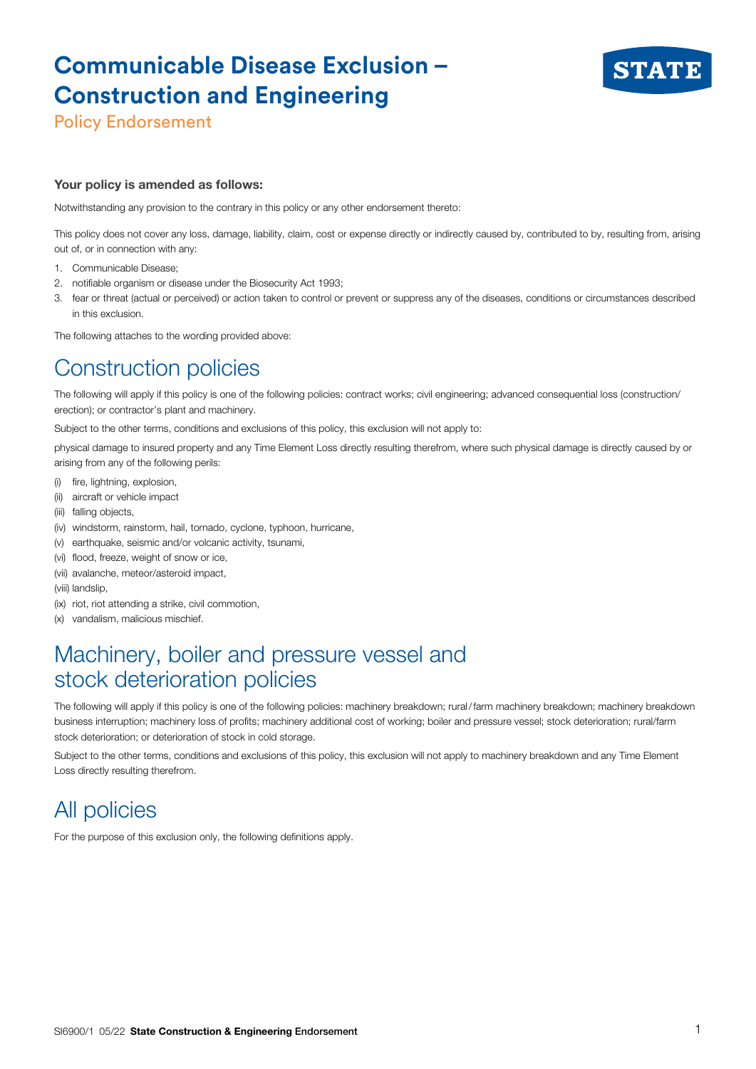# **Communicable Disease Exclusion – Construction and Engineering**



Policy Endorsement

#### Your policy is amended as follows:

Notwithstanding any provision to the contrary in this policy or any other endorsement thereto:

This policy does not cover any loss, damage, liability, claim, cost or expense directly or indirectly caused by, contributed to by, resulting from, arising out of, or in connection with any:

- 1. Communicable Disease;
- 2. notifiable organism or disease under the Biosecurity Act 1993;
- 3. fear or threat (actual or perceived) or action taken to control or prevent or suppress any of the diseases, conditions or circumstances described in this exclusion.

The following attaches to the wording provided above:

## Construction policies

The following will apply if this policy is one of the following policies: contract works; civil engineering; advanced consequential loss (construction/ erection); or contractor's plant and machinery.

Subject to the other terms, conditions and exclusions of this policy, this exclusion will not apply to:

physical damage to insured property and any Time Element Loss directly resulting therefrom, where such physical damage is directly caused by or arising from any of the following perils:

- (i) fire, lightning, explosion,
- (ii) aircraft or vehicle impact
- (iii) falling objects,
- (iv) windstorm, rainstorm, hail, tornado, cyclone, typhoon, hurricane,
- (v) earthquake, seismic and/or volcanic activity, tsunami,
- (vi) flood, freeze, weight of snow or ice,
- (vii) avalanche, meteor/asteroid impact,
- (viii) landslip,
- (ix) riot, riot attending a strike, civil commotion,
- (x) vandalism, malicious mischief.

#### Machinery, boiler and pressure vessel and stock deterioration policies

The following will apply if this policy is one of the following policies: machinery breakdown; rural/farm machinery breakdown; machinery breakdown business interruption; machinery loss of profits; machinery additional cost of working; boiler and pressure vessel; stock deterioration; rural/farm stock deterioration; or deterioration of stock in cold storage.

Subject to the other terms, conditions and exclusions of this policy, this exclusion will not apply to machinery breakdown and any Time Element Loss directly resulting therefrom.

### All policies

For the purpose of this exclusion only, the following definitions apply.